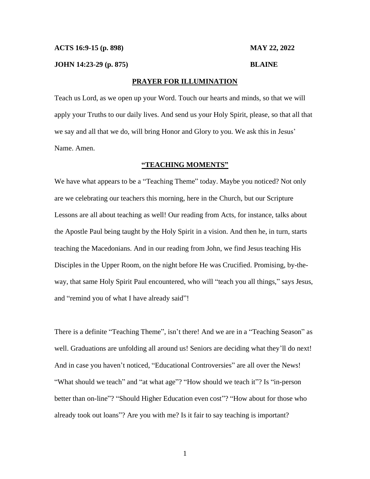# **ACTS 16:9-15 (p. 898) MAY 22, 2022**

**JOHN 14:23-29 (p. 875) BLAINE**

## **PRAYER FOR ILLUMINATION**

Teach us Lord, as we open up your Word. Touch our hearts and minds, so that we will apply your Truths to our daily lives. And send us your Holy Spirit, please, so that all that we say and all that we do, will bring Honor and Glory to you. We ask this in Jesus' Name. Amen.

### **"TEACHING MOMENTS"**

We have what appears to be a "Teaching Theme" today. Maybe you noticed? Not only are we celebrating our teachers this morning, here in the Church, but our Scripture Lessons are all about teaching as well! Our reading from Acts, for instance, talks about the Apostle Paul being taught by the Holy Spirit in a vision. And then he, in turn, starts teaching the Macedonians. And in our reading from John, we find Jesus teaching His Disciples in the Upper Room, on the night before He was Crucified. Promising, by-theway, that same Holy Spirit Paul encountered, who will "teach you all things," says Jesus, and "remind you of what I have already said"!

There is a definite "Teaching Theme", isn't there! And we are in a "Teaching Season" as well. Graduations are unfolding all around us! Seniors are deciding what they'll do next! And in case you haven't noticed, "Educational Controversies" are all over the News! "What should we teach" and "at what age"? "How should we teach it"? Is "in-person better than on-line"? "Should Higher Education even cost"? "How about for those who already took out loans"? Are you with me? Is it fair to say teaching is important?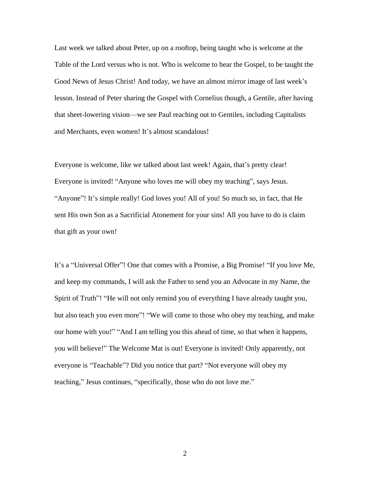Last week we talked about Peter, up on a rooftop, being taught who is welcome at the Table of the Lord versus who is not. Who is welcome to hear the Gospel, to be taught the Good News of Jesus Christ! And today, we have an almost mirror image of last week's lesson. Instead of Peter sharing the Gospel with Cornelius though, a Gentile, after having that sheet-lowering vision—we see Paul reaching out to Gentiles, including Capitalists and Merchants, even women! It's almost scandalous!

Everyone is welcome, like we talked about last week! Again, that's pretty clear! Everyone is invited! "Anyone who loves me will obey my teaching", says Jesus. "Anyone"! It's simple really! God loves you! All of you! So much so, in fact, that He sent His own Son as a Sacrificial Atonement for your sins! All you have to do is claim that gift as your own!

It's a "Universal Offer"! One that comes with a Promise, a Big Promise! "If you love Me, and keep my commands, I will ask the Father to send you an Advocate in my Name, the Spirit of Truth"! "He will not only remind you of everything I have already taught you, but also teach you even more"! "We will come to those who obey my teaching, and make our home with you!" "And I am telling you this ahead of time, so that when it happens, you will believe!" The Welcome Mat is out! Everyone is invited! Only apparently, not everyone is "Teachable"? Did you notice that part? "Not everyone will obey my teaching," Jesus continues, "specifically, those who do not love me."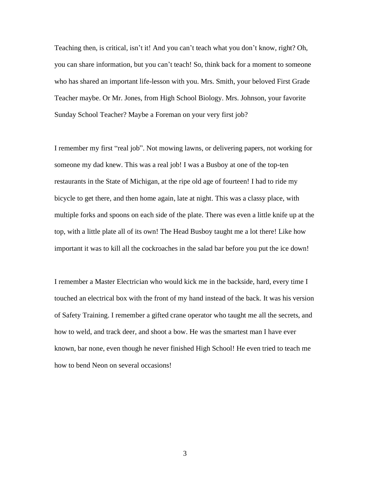Teaching then, is critical, isn't it! And you can't teach what you don't know, right? Oh, you can share information, but you can't teach! So, think back for a moment to someone who has shared an important life-lesson with you. Mrs. Smith, your beloved First Grade Teacher maybe. Or Mr. Jones, from High School Biology. Mrs. Johnson, your favorite Sunday School Teacher? Maybe a Foreman on your very first job?

I remember my first "real job". Not mowing lawns, or delivering papers, not working for someone my dad knew. This was a real job! I was a Busboy at one of the top-ten restaurants in the State of Michigan, at the ripe old age of fourteen! I had to ride my bicycle to get there, and then home again, late at night. This was a classy place, with multiple forks and spoons on each side of the plate. There was even a little knife up at the top, with a little plate all of its own! The Head Busboy taught me a lot there! Like how important it was to kill all the cockroaches in the salad bar before you put the ice down!

I remember a Master Electrician who would kick me in the backside, hard, every time I touched an electrical box with the front of my hand instead of the back. It was his version of Safety Training. I remember a gifted crane operator who taught me all the secrets, and how to weld, and track deer, and shoot a bow. He was the smartest man I have ever known, bar none, even though he never finished High School! He even tried to teach me how to bend Neon on several occasions!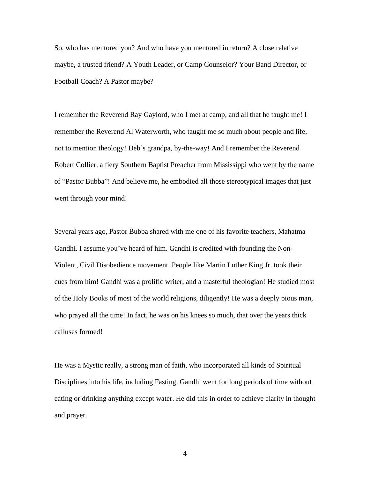So, who has mentored you? And who have you mentored in return? A close relative maybe, a trusted friend? A Youth Leader, or Camp Counselor? Your Band Director, or Football Coach? A Pastor maybe?

I remember the Reverend Ray Gaylord, who I met at camp, and all that he taught me! I remember the Reverend Al Waterworth, who taught me so much about people and life, not to mention theology! Deb's grandpa, by-the-way! And I remember the Reverend Robert Collier, a fiery Southern Baptist Preacher from Mississippi who went by the name of "Pastor Bubba"! And believe me, he embodied all those stereotypical images that just went through your mind!

Several years ago, Pastor Bubba shared with me one of his favorite teachers, Mahatma Gandhi. I assume you've heard of him. Gandhi is credited with founding the Non-Violent, Civil Disobedience movement. People like Martin Luther King Jr. took their cues from him! Gandhi was a prolific writer, and a masterful theologian! He studied most of the Holy Books of most of the world religions, diligently! He was a deeply pious man, who prayed all the time! In fact, he was on his knees so much, that over the years thick calluses formed!

He was a Mystic really, a strong man of faith, who incorporated all kinds of Spiritual Disciplines into his life, including Fasting. Gandhi went for long periods of time without eating or drinking anything except water. He did this in order to achieve clarity in thought and prayer.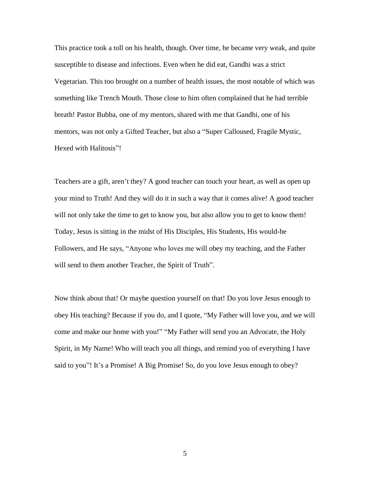This practice took a toll on his health, though. Over time, he became very weak, and quite susceptible to disease and infections. Even when he did eat, Gandhi was a strict Vegetarian. This too brought on a number of health issues, the most notable of which was something like Trench Mouth. Those close to him often complained that he had terrible breath! Pastor Bubba, one of my mentors, shared with me that Gandhi, one of his mentors, was not only a Gifted Teacher, but also a "Super Calloused, Fragile Mystic, Hexed with Halitosis"!

Teachers are a gift, aren't they? A good teacher can touch your heart, as well as open up your mind to Truth! And they will do it in such a way that it comes alive! A good teacher will not only take the time to get to know you, but also allow you to get to know them! Today, Jesus is sitting in the midst of His Disciples, His Students, His would-be Followers, and He says, "Anyone who loves me will obey my teaching, and the Father will send to them another Teacher, the Spirit of Truth".

Now think about that! Or maybe question yourself on that! Do you love Jesus enough to obey His teaching? Because if you do, and I quote, "My Father will love you, and we will come and make our home with you!" "My Father will send you an Advocate, the Holy Spirit, in My Name! Who will teach you all things, and remind you of everything I have said to you"! It's a Promise! A Big Promise! So, do you love Jesus enough to obey?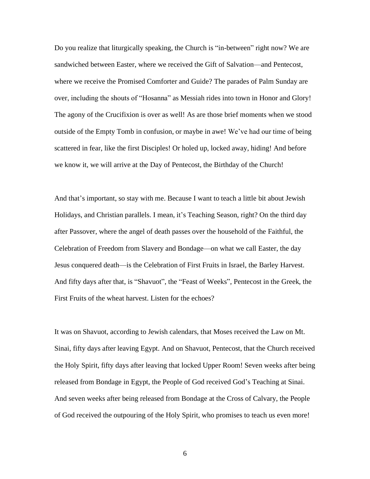Do you realize that liturgically speaking, the Church is "in-between" right now? We are sandwiched between Easter, where we received the Gift of Salvation—and Pentecost, where we receive the Promised Comforter and Guide? The parades of Palm Sunday are over, including the shouts of "Hosanna" as Messiah rides into town in Honor and Glory! The agony of the Crucifixion is over as well! As are those brief moments when we stood outside of the Empty Tomb in confusion, or maybe in awe! We've had our time of being scattered in fear, like the first Disciples! Or holed up, locked away, hiding! And before we know it, we will arrive at the Day of Pentecost, the Birthday of the Church!

And that's important, so stay with me. Because I want to teach a little bit about Jewish Holidays, and Christian parallels. I mean, it's Teaching Season, right? On the third day after Passover, where the angel of death passes over the household of the Faithful, the Celebration of Freedom from Slavery and Bondage—on what we call Easter, the day Jesus conquered death—is the Celebration of First Fruits in Israel, the Barley Harvest. And fifty days after that, is "Shavuot", the "Feast of Weeks", Pentecost in the Greek, the First Fruits of the wheat harvest. Listen for the echoes?

It was on Shavuot, according to Jewish calendars, that Moses received the Law on Mt. Sinai, fifty days after leaving Egypt. And on Shavuot, Pentecost, that the Church received the Holy Spirit, fifty days after leaving that locked Upper Room! Seven weeks after being released from Bondage in Egypt, the People of God received God's Teaching at Sinai. And seven weeks after being released from Bondage at the Cross of Calvary, the People of God received the outpouring of the Holy Spirit, who promises to teach us even more!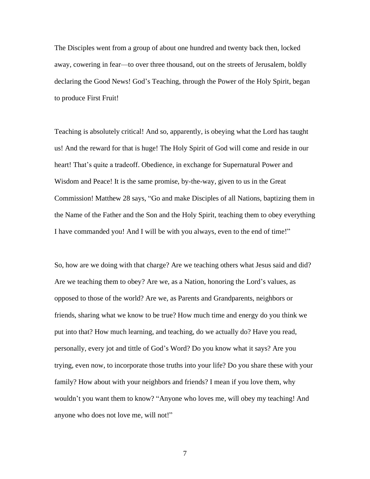The Disciples went from a group of about one hundred and twenty back then, locked away, cowering in fear—to over three thousand, out on the streets of Jerusalem, boldly declaring the Good News! God's Teaching, through the Power of the Holy Spirit, began to produce First Fruit!

Teaching is absolutely critical! And so, apparently, is obeying what the Lord has taught us! And the reward for that is huge! The Holy Spirit of God will come and reside in our heart! That's quite a tradeoff. Obedience, in exchange for Supernatural Power and Wisdom and Peace! It is the same promise, by-the-way, given to us in the Great Commission! Matthew 28 says, "Go and make Disciples of all Nations, baptizing them in the Name of the Father and the Son and the Holy Spirit, teaching them to obey everything I have commanded you! And I will be with you always, even to the end of time!"

So, how are we doing with that charge? Are we teaching others what Jesus said and did? Are we teaching them to obey? Are we, as a Nation, honoring the Lord's values, as opposed to those of the world? Are we, as Parents and Grandparents, neighbors or friends, sharing what we know to be true? How much time and energy do you think we put into that? How much learning, and teaching, do we actually do? Have you read, personally, every jot and tittle of God's Word? Do you know what it says? Are you trying, even now, to incorporate those truths into your life? Do you share these with your family? How about with your neighbors and friends? I mean if you love them, why wouldn't you want them to know? "Anyone who loves me, will obey my teaching! And anyone who does not love me, will not!"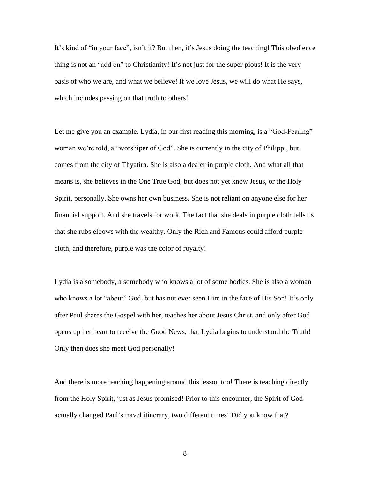It's kind of "in your face", isn't it? But then, it's Jesus doing the teaching! This obedience thing is not an "add on" to Christianity! It's not just for the super pious! It is the very basis of who we are, and what we believe! If we love Jesus, we will do what He says, which includes passing on that truth to others!

Let me give you an example. Lydia, in our first reading this morning, is a "God-Fearing" woman we're told, a "worshiper of God". She is currently in the city of Philippi, but comes from the city of Thyatira. She is also a dealer in purple cloth. And what all that means is, she believes in the One True God, but does not yet know Jesus, or the Holy Spirit, personally. She owns her own business. She is not reliant on anyone else for her financial support. And she travels for work. The fact that she deals in purple cloth tells us that she rubs elbows with the wealthy. Only the Rich and Famous could afford purple cloth, and therefore, purple was the color of royalty!

Lydia is a somebody, a somebody who knows a lot of some bodies. She is also a woman who knows a lot "about" God, but has not ever seen Him in the face of His Son! It's only after Paul shares the Gospel with her, teaches her about Jesus Christ, and only after God opens up her heart to receive the Good News, that Lydia begins to understand the Truth! Only then does she meet God personally!

And there is more teaching happening around this lesson too! There is teaching directly from the Holy Spirit, just as Jesus promised! Prior to this encounter, the Spirit of God actually changed Paul's travel itinerary, two different times! Did you know that?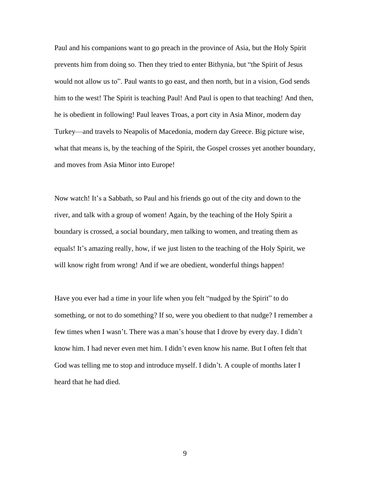Paul and his companions want to go preach in the province of Asia, but the Holy Spirit prevents him from doing so. Then they tried to enter Bithynia, but "the Spirit of Jesus would not allow us to". Paul wants to go east, and then north, but in a vision, God sends him to the west! The Spirit is teaching Paul! And Paul is open to that teaching! And then, he is obedient in following! Paul leaves Troas, a port city in Asia Minor, modern day Turkey—and travels to Neapolis of Macedonia, modern day Greece. Big picture wise, what that means is, by the teaching of the Spirit, the Gospel crosses yet another boundary, and moves from Asia Minor into Europe!

Now watch! It's a Sabbath, so Paul and his friends go out of the city and down to the river, and talk with a group of women! Again, by the teaching of the Holy Spirit a boundary is crossed, a social boundary, men talking to women, and treating them as equals! It's amazing really, how, if we just listen to the teaching of the Holy Spirit, we will know right from wrong! And if we are obedient, wonderful things happen!

Have you ever had a time in your life when you felt "nudged by the Spirit" to do something, or not to do something? If so, were you obedient to that nudge? I remember a few times when I wasn't. There was a man's house that I drove by every day. I didn't know him. I had never even met him. I didn't even know his name. But I often felt that God was telling me to stop and introduce myself. I didn't. A couple of months later I heard that he had died.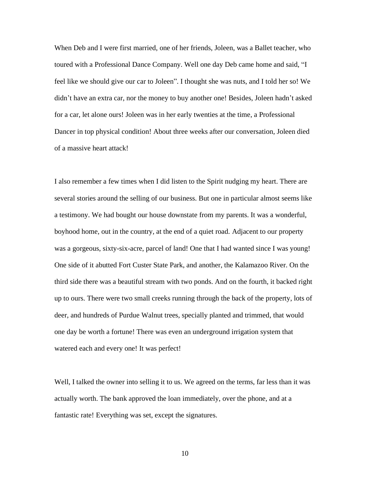When Deb and I were first married, one of her friends, Joleen, was a Ballet teacher, who toured with a Professional Dance Company. Well one day Deb came home and said, "I feel like we should give our car to Joleen". I thought she was nuts, and I told her so! We didn't have an extra car, nor the money to buy another one! Besides, Joleen hadn't asked for a car, let alone ours! Joleen was in her early twenties at the time, a Professional Dancer in top physical condition! About three weeks after our conversation, Joleen died of a massive heart attack!

I also remember a few times when I did listen to the Spirit nudging my heart. There are several stories around the selling of our business. But one in particular almost seems like a testimony. We had bought our house downstate from my parents. It was a wonderful, boyhood home, out in the country, at the end of a quiet road. Adjacent to our property was a gorgeous, sixty-six-acre, parcel of land! One that I had wanted since I was young! One side of it abutted Fort Custer State Park, and another, the Kalamazoo River. On the third side there was a beautiful stream with two ponds. And on the fourth, it backed right up to ours. There were two small creeks running through the back of the property, lots of deer, and hundreds of Purdue Walnut trees, specially planted and trimmed, that would one day be worth a fortune! There was even an underground irrigation system that watered each and every one! It was perfect!

Well, I talked the owner into selling it to us. We agreed on the terms, far less than it was actually worth. The bank approved the loan immediately, over the phone, and at a fantastic rate! Everything was set, except the signatures.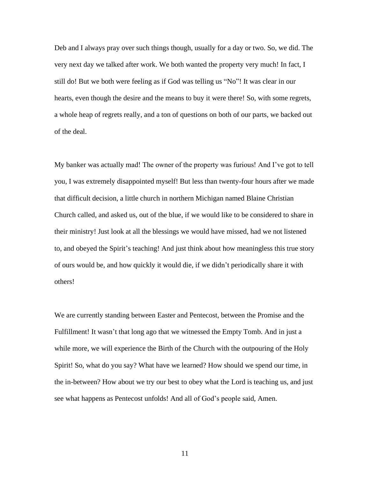Deb and I always pray over such things though, usually for a day or two. So, we did. The very next day we talked after work. We both wanted the property very much! In fact, I still do! But we both were feeling as if God was telling us "No"! It was clear in our hearts, even though the desire and the means to buy it were there! So, with some regrets, a whole heap of regrets really, and a ton of questions on both of our parts, we backed out of the deal.

My banker was actually mad! The owner of the property was furious! And I've got to tell you, I was extremely disappointed myself! But less than twenty-four hours after we made that difficult decision, a little church in northern Michigan named Blaine Christian Church called, and asked us, out of the blue, if we would like to be considered to share in their ministry! Just look at all the blessings we would have missed, had we not listened to, and obeyed the Spirit's teaching! And just think about how meaningless this true story of ours would be, and how quickly it would die, if we didn't periodically share it with others!

We are currently standing between Easter and Pentecost, between the Promise and the Fulfillment! It wasn't that long ago that we witnessed the Empty Tomb. And in just a while more, we will experience the Birth of the Church with the outpouring of the Holy Spirit! So, what do you say? What have we learned? How should we spend our time, in the in-between? How about we try our best to obey what the Lord is teaching us, and just see what happens as Pentecost unfolds! And all of God's people said, Amen.